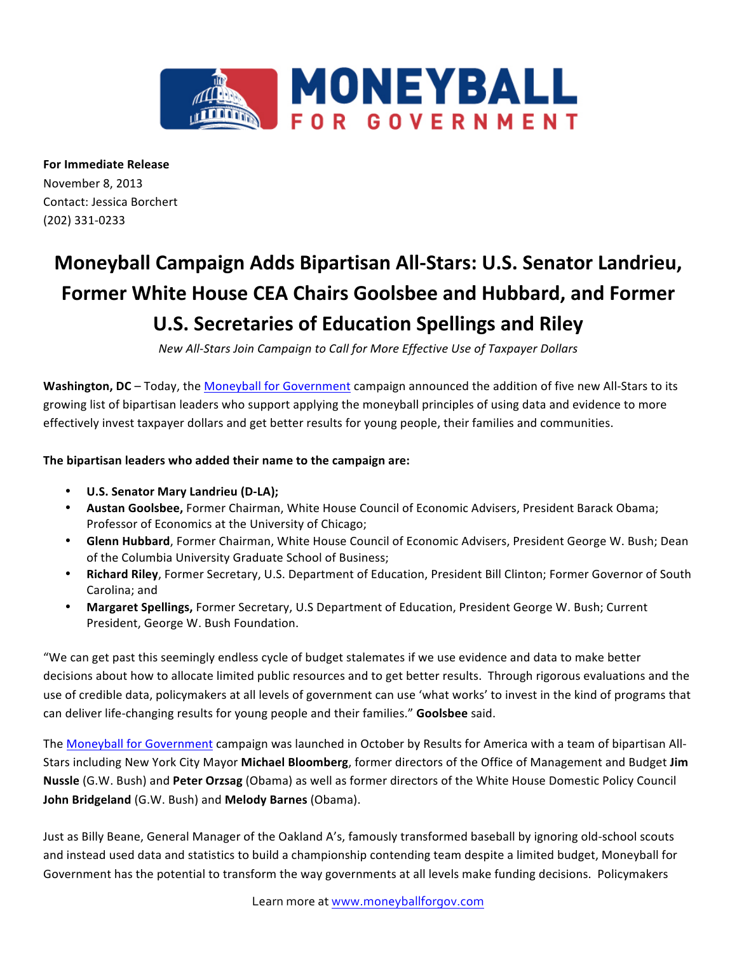

**For Immediate Release** November 8, 2013 Contact: Jessica Borchert (202) 331-0233

## **Moneyball Campaign Adds Bipartisan All-Stars: U.S. Senator Landrieu, Former White House CEA Chairs Goolsbee and Hubbard, and Former U.S. Secretaries of Education Spellings and Riley**

*New All-Stars Join Campaign to Call for More Effective Use of Taxpayer Dollars* 

Washington, DC – Today, the Moneyball for Government campaign announced the addition of five new All-Stars to its growing list of bipartisan leaders who support applying the moneyball principles of using data and evidence to more effectively invest taxpayer dollars and get better results for young people, their families and communities.

## The bipartisan leaders who added their name to the campaign are:

- **U.S. Senator Mary Landrieu (D-LA);**
- Austan Goolsbee, Former Chairman, White House Council of Economic Advisers, President Barack Obama; Professor of Economics at the University of Chicago;
- Glenn Hubbard, Former Chairman, White House Council of Economic Advisers, President George W. Bush; Dean of the Columbia University Graduate School of Business;
- Richard Riley, Former Secretary, U.S. Department of Education, President Bill Clinton; Former Governor of South Carolina; and
- **Margaret Spellings, Former Secretary, U.S Department of Education, President George W. Bush; Current** President, George W. Bush Foundation.

"We can get past this seemingly endless cycle of budget stalemates if we use evidence and data to make better decisions about how to allocate limited public resources and to get better results. Through rigorous evaluations and the use of credible data, policymakers at all levels of government can use 'what works' to invest in the kind of programs that can deliver life-changing results for young people and their families." **Goolsbee** said.

The Moneyball for Government campaign was launched in October by Results for America with a team of bipartisan All-Stars including New York City Mayor Michael Bloomberg, former directors of the Office of Management and Budget Jim **Nussle** (G.W. Bush) and Peter Orzsag (Obama) as well as former directors of the White House Domestic Policy Council **John Bridgeland** (G.W. Bush) and **Melody Barnes** (Obama).

Just as Billy Beane, General Manager of the Oakland A's, famously transformed baseball by ignoring old-school scouts and instead used data and statistics to build a championship contending team despite a limited budget, Moneyball for Government has the potential to transform the way governments at all levels make funding decisions. Policymakers